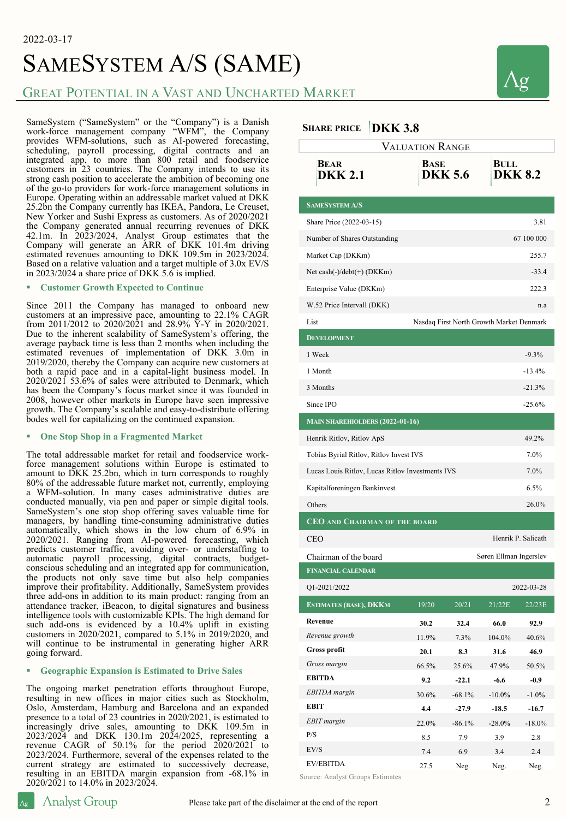# SAMESYSTEM A/S (SAME)

### GREAT POTENTIAL IN A VAST AND UNCHARTED MARKET

SameSystem ("SameSystem" or the "Company") is a Danish work-force management company "WFM", the Company provides WFM-solutions, such as AI-powered forecasting, scheduling, payroll processing, digital contracts and an integrated app, to more than 800 retail and foodservice customers in 23 countries. The Company intends to use its strong cash position to accelerate the ambition of becoming one of the go-to providers for work-force management solutions in Europe. Operating within an addressable market valued at DKK 25.2bn the Company currently has IKEA, Pandora, Le Creuset, New Yorker and Sushi Express as customers. As of 2020/2021 the Company generated annual recurring revenues of DKK 42.1m. In 2023/2024, Analyst Group estimates that the Company will generate an ARR of DKK 101.4m driving estimated revenues amounting to DKK 109.5m in 2023/2024. Based on <sup>a</sup> relative valuation and <sup>a</sup> target multiple of 3.0x EV/S in 2023/2024 a share price of DKK 5.6 is implied.

#### § **Customer Growth Expected to Continue**

Since <sup>2011</sup> the Company has managed to onboard new customers at an impressive pace, amounting to 22.1% CAGR from 2011/2012 to 2020/2021 and 28.9%  $\bar{Y}$ -Y in 2020/2021. Due to the inherent scalability of SameSystem's offering, the average payback time is less than 2 months when including the estimated revenues of implementation of DKK 3.0m in 2019/2020, thereby the Company can acquire new customers at both a rapid pace and in a capital-light business model. In 2020/2021 53.6% of sales were attributed to Denmark, which has been the Company's focus market since it was founded in 2008, however other markets in Europe have seen impressive growth. The Company's scalable and easy-to-distribute offering bodes well for capitalizing on the continued expansion.

#### § **One Stop Shop in a Fragmented Market**

The total addressable market for retail and foodservice workforce management solutions within Europe is estimated to amount to DKK 25.2bn, which in turn corresponds to roughly 80% of the addressable future market not, currently, employing <sup>a</sup> WFM-solution. In many cases administrative duties are SameSystem's one stop shop offering saves valuable time for managers, by handling time-consuming administrative duties automatically, which shows in the low churn of 6.9% in 2020/2021. Ranging from AI-powered forecasting, which predicts customer traffic, avoiding over- or understaffing to automatic payroll processing, digital contracts, budgetconscious scheduling and an integrated app for communication, the products not only save time but also help companies improve their profitability. Additionally, SameSystem provides three add-ons in addition to its main product: ranging from an attendance tracker, iBeacon, to digital signatures and business intelligence tools with customizable KPIs. The high demand for such add-ons is evidenced by a 10.4% uplift in existing customers in 2020/2021, compared to 5.1% in 2019/2020, and will continue to be instrumental in generating higher ARR going forward.

#### § **Geographic Expansion is Estimated to Drive Sales**

The ongoing market penetration efforts throughout Europe, resulting in new offices in major cities such as Stockholm, Oslo, Amsterdam, Hamburg and Barcelona and an expanded presence to a total of 23 countries in 2020/2021, is estimated to increasingly drive sales, amounting to DKK 109.5m in 2023/2024 and DKK 130.1m 2024/2025, representing <sup>a</sup> revenue CAGR of 50.1% for the period 2020/2021 to 2023/2024. Furthermore, several of the expenses related to the current strategy are estimated to successively decrease, resulting in an EBITDA margin expansion from -68.1% in 2020/2021 to 14.0% in 2023/2024.

#### **SHARE PRICE DKK 3.8**

| VALUATION RANGE                                          |            |                |                        |            |
|----------------------------------------------------------|------------|----------------|------------------------|------------|
| <b>BEAR</b><br><b>DKK 2.1</b>                            | BASE       | <b>DKK 5.6</b> | BULL<br><b>DKK 8.2</b> |            |
| <b>SAMESYSTEM A/S</b>                                    |            |                |                        |            |
| Share Price (2022-03-15)                                 |            |                |                        | 3.81       |
| Number of Shares Outstanding                             |            |                |                        | 67 100 000 |
| Market Cap (DKKm)                                        |            |                |                        | 255.7      |
| Net cash $(-)/\text{debt}(+)$ (DKKm)                     |            |                |                        | $-33.4$    |
| Enterprise Value (DKKm)                                  |            |                |                        | 222.3      |
| W.52 Price Intervall (DKK)<br>n.a                        |            |                |                        |            |
| List<br>Nasdaq First North Growth Market Denmark         |            |                |                        |            |
| <b>DEVELOPMENT</b>                                       |            |                |                        |            |
| 1 Week                                                   |            |                |                        | $-9.3%$    |
| 1 Month                                                  |            |                |                        | $-13.4%$   |
| 3 Months                                                 |            |                |                        | $-21.3%$   |
| Since IPO                                                |            |                |                        | $-25.6%$   |
| <b>MAIN SHAREHIOLDERS (2022-01-16)</b>                   |            |                |                        |            |
| Henrik Ritlov, Ritlov ApS                                |            |                |                        | 49.2%      |
| Tobias Byrial Ritlov, Ritlov Invest IVS                  |            |                |                        | 7.0%       |
| 7.0%<br>Lucas Louis Ritlov, Lucas Ritlov Investments IVS |            |                |                        |            |
| Kapitalforeningen Bankinvest                             |            |                |                        | 6.5%       |
| Others                                                   |            |                |                        | 26.0%      |
| <b>CEO AND CHAIRMAN OF THE BOARD</b>                     |            |                |                        |            |
| Henrik P. Salicath<br><b>CEO</b>                         |            |                |                        |            |
| Chairman of the board<br>Søren Ellman Ingerslev          |            |                |                        |            |
| <b>FINANCIAL CALENDAR</b>                                |            |                |                        |            |
| Q1-2021/2022<br>2022-03-28                               |            |                |                        |            |
| <b>ESTIMATES (BASE), DKKM</b>                            | 19/20      | 20/21          | 21/22E                 | 22/23E     |
| Revenue                                                  | 30.2       | 32.4           | 66.0                   | 92.9       |
| Revenue growth                                           | 11.9%      | 7.3%           | 104.0%                 | 40.6%      |
| Gross profit                                             | 20.1       | 8.3            | 31.6                   | 46.9       |
| Gross margin                                             | 66.5%      | 25.6%          | 47.9%                  | 50.5%      |
| <b>EBITDA</b>                                            | 9.2        | $-22.1$        | $-6.6$                 | $-0.9$     |
| EBITDA margin                                            | 30.6%      | $-68.1\%$      | $-10.0\%$              | $-1.0\%$   |
| EBIT<br>EBIT margin                                      | 4.4        | $-27.9$        | $-18.5$                | $-16.7$    |
| P/S                                                      | 22.0%      | $-86.1%$       | $-28.0\%$              | $-18.0\%$  |
| EV/S                                                     | 8.5<br>7.4 | 7.9<br>6.9     | 3.9<br>3.4             | 2.8<br>2.4 |
| <b>EV/EBITDA</b>                                         | 27.5       | Neg.           | Neg.                   | Neg.       |
|                                                          |            |                |                        |            |

Source: Analyst Groups Estimates